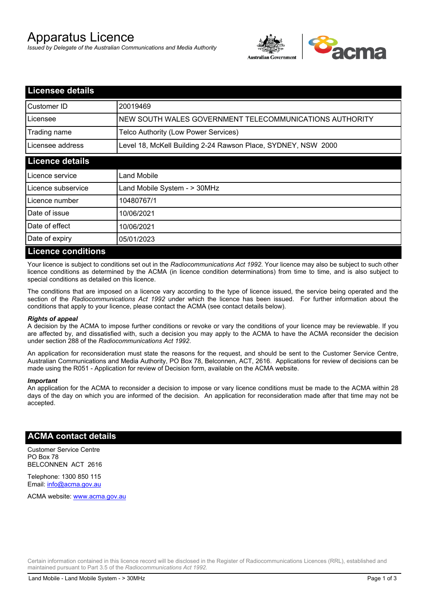# Apparatus Licence

*Issued by Delegate of the Australian Communications and Media Authority*



| <b>Licensee details</b>   |                                                               |  |
|---------------------------|---------------------------------------------------------------|--|
| Customer ID               | 20019469                                                      |  |
| Licensee                  | NEW SOUTH WALES GOVERNMENT TELECOMMUNICATIONS AUTHORITY       |  |
| Trading name              | Telco Authority (Low Power Services)                          |  |
| Licensee address          | Level 18, McKell Building 2-24 Rawson Place, SYDNEY, NSW 2000 |  |
| <b>Licence details</b>    |                                                               |  |
| l Licence service         | Land Mobile                                                   |  |
| Licence subservice        | Land Mobile System - > 30MHz                                  |  |
| Licence number            | 10480767/1                                                    |  |
| Date of issue             | 10/06/2021                                                    |  |
| Date of effect            | 10/06/2021                                                    |  |
| Date of expiry            | 05/01/2023                                                    |  |
| <b>Licence conditions</b> |                                                               |  |

Your licence is subject to conditions set out in the *Radiocommunications Act 1992*. Your licence may also be subject to such other licence conditions as determined by the ACMA (in licence condition determinations) from time to time, and is also subject to special conditions as detailed on this licence.

The conditions that are imposed on a licence vary according to the type of licence issued, the service being operated and the section of the *Radiocommunications Act 1992* under which the licence has been issued. For further information about the conditions that apply to your licence, please contact the ACMA (see contact details below).

#### *Rights of appeal*

A decision by the ACMA to impose further conditions or revoke or vary the conditions of your licence may be reviewable. If you are affected by, and dissatisfied with, such a decision you may apply to the ACMA to have the ACMA reconsider the decision under section 288 of the *Radiocommunications Act 1992*.

An application for reconsideration must state the reasons for the request, and should be sent to the Customer Service Centre, Australian Communications and Media Authority, PO Box 78, Belconnen, ACT, 2616. Applications for review of decisions can be made using the R051 - Application for review of Decision form, available on the ACMA website.

#### *Important*

An application for the ACMA to reconsider a decision to impose or vary licence conditions must be made to the ACMA within 28 days of the day on which you are informed of the decision. An application for reconsideration made after that time may not be accepted.

#### **ACMA contact details**

Customer Service Centre PO Box 78 BELCONNEN ACT 2616

Telephone: 1300 850 115 Email: info@acma.gov.au

ACMA website: www.acma.gov.au

Certain information contained in this licence record will be disclosed in the Register of Radiocommunications Licences (RRL), established and maintained pursuant to Part 3.5 of the *Radiocommunications Act 1992.*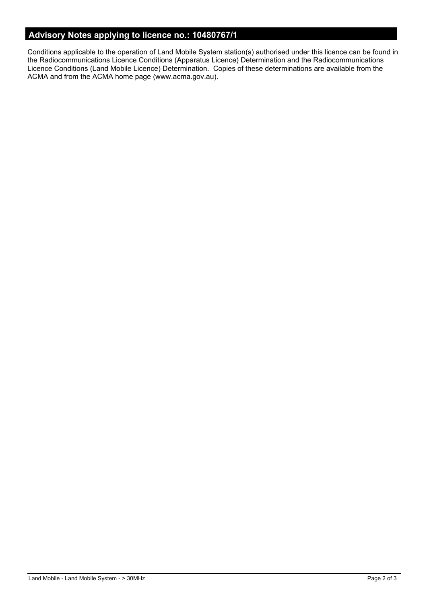## **Advisory Notes applying to licence no.: 10480767/1**

Conditions applicable to the operation of Land Mobile System station(s) authorised under this licence can be found in the Radiocommunications Licence Conditions (Apparatus Licence) Determination and the Radiocommunications Licence Conditions (Land Mobile Licence) Determination. Copies of these determinations are available from the ACMA and from the ACMA home page (www.acma.gov.au).